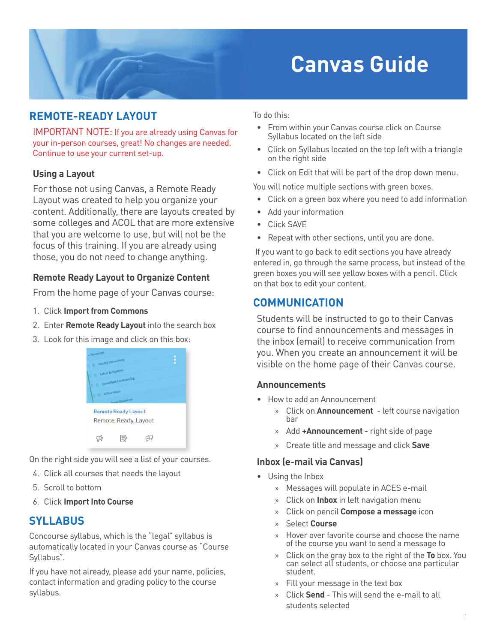# **Canvas Guide**

# **REMOTE-READY LAYOUT**

IMPORTANT NOTE: If you are already using Canvas for your in-person courses, great! No changes are needed. Continue to use your current set-up.

#### **Using a Layout**

For those not using Canvas, a Remote Ready Layout was created to help you organize your content. Additionally, there are layouts created by some colleges and ACOL that are more extensive that you are welcome to use, but will not be the focus of this training. If you are already using those, you do not need to change anything.

## **Remote Ready Layout to Organize Content**

From the home page of your Canvas course:

- 1. Click **Import from Commons**
- 2. Enter **Remote Ready Layout** into the search box
- 3. Look for this image and click on this box:



On the right side you will see a list of your courses.

- 4. Click all courses that needs the layout
- 5. Scroll to bottom
- 6. Click **Import Into Course**

# **SYLLABUS**

Concourse syllabus, which is the "legal" syllabus is automatically located in your Canvas course as "Course Syllabus".

If you have not already, please add your name, policies, contact information and grading policy to the course syllabus.

To do this:

- From within your Canvas course click on Course Syllabus located on the left side
- Click on Syllabus located on the top left with a triangle on the right side
- Click on Edit that will be part of the drop down menu.

You will notice multiple sections with green boxes.

- Click on a green box where you need to add information
- Add your information
- Click SAVE
- Repeat with other sections, until you are done.

If you want to go back to edit sections you have already entered in, go through the same process, but instead of the green boxes you will see yellow boxes with a pencil. Click on that box to edit your content.

# **COMMUNICATION**

Students will be instructed to go to their Canvas course to find announcements and messages in the inbox (email) to receive communication from you. When you create an announcement it will be visible on the home page of their Canvas course.

#### **Announcements**

- How to add an Announcement
	- » Click on **Announcement** left course navigation bar
	- » Add **+Announcement** right side of page
	- » Create title and message and click **Save**

#### **Inbox (e-mail via Canvas)**

- Using the Inbox
	- » Messages will populate in ACES e-mail
	- » Click on **Inbox** in left navigation menu
	- » Click on pencil **Compose a message** icon
	- » Select **Course**
	- » Hover over favorite course and choose the name of the course you want to send a message to
	- » Click on the gray box to the right of the **To** box. You can select all students, or choose one particular student.
	- » Fill your message in the text box
	- » Click **Send** This will send the e-mail to all students selected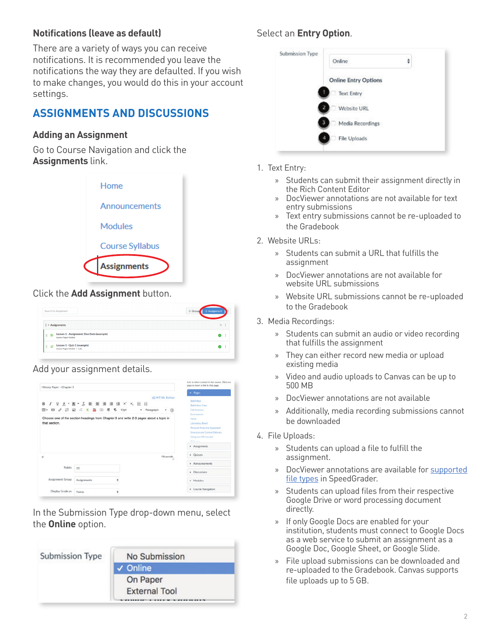## **Notifications (leave as default)**

There are a variety of ways you can receive notifications. It is recommended you leave the notifications the way they are defaulted. If you wish to make changes, you would do this in your account settings.

# **ASSIGNMENTS AND DISCUSSIONS**

#### **Adding an Assignment**

Go to Course Navigation and click the **Assignments** link.



#### Click the **Add Assignment** button.

| Search for Assignment                                                                    | $+$ Assignment<br>$+$ Group |
|------------------------------------------------------------------------------------------|-----------------------------|
| Fil * Assignments                                                                        | $+$                         |
| Lesson 1 - Assignment: Due Date (example)<br>日段<br><b>Lesson Pages Module</b>            | ø<br>÷                      |
| Lesson 1 - Quiz 1 (example)<br>$\mathbb{R}$ $\mathscr{A}$<br>Lesson Pages Module   1 pts | ø<br>÷                      |

#### Add your assignment details.

| History Paper - Chapter 3 |                           |                                                                                                                                                           | page to insert a link to that gage.                                                                                                                                                                                                                             |
|---------------------------|---------------------------|-----------------------------------------------------------------------------------------------------------------------------------------------------------|-----------------------------------------------------------------------------------------------------------------------------------------------------------------------------------------------------------------------------------------------------------------|
| B<br>田 -<br>that section. | 四 ∂ 22 国 √ K 晶 回 用 ¶ 12pt | mm HTML Editor<br>Paragraph<br>$\ddot{\phantom{1}}$<br>$ \circ$<br>Choose one of the section headings from Chapter 3 and write 2-3 pages about a topic in | · Papes<br><b>Build Ideas</b><br><b>Build Ideas Copy</b><br>Cell Anatomy<br>Environment<br>Horne<br>Laboratory Bench<br>Personal Protective Equipment<br><b>Structural and Content Fallacies</b><br>Using your Microscope<br><b>Striderman</b><br>> Assignments |
| p                         |                           | 19 words<br>×                                                                                                                                             | · Quizzes<br>· Announcements                                                                                                                                                                                                                                    |
| <b>Points</b>             | 25                        |                                                                                                                                                           | Discussions                                                                                                                                                                                                                                                     |
| Assignment Group          | <b>Assignments</b>        | ÷                                                                                                                                                         | » Modules                                                                                                                                                                                                                                                       |
| Display Grade as          | <b>Points</b>             | ٥                                                                                                                                                         | Course Navigation                                                                                                                                                                                                                                               |

In the Submission Type drop-down menu, select the **Online** option.



# Select an **Entry Option**.

|   | Online                      | ÷ |
|---|-----------------------------|---|
|   | <b>Online Entry Options</b> |   |
|   | <b>Text Entry</b>           |   |
|   | <b>Website URL</b>          |   |
| 3 | Media Recordings            |   |
| 4 | File Uploads                |   |

- 1. Text Entry:
	- » Students can submit their assignment directly in the Rich Content Editor
	- » DocViewer annotations are not available for text entry submissions
	- » Text entry submissions cannot be re-uploaded to the Gradebook
- 2. Website URLs:
	- » Students can submit a URL that fulfills the assignment
	- » DocViewer annotations are not available for website URL submissions
	- » Website URL submissions cannot be re-uploaded to the Gradebook
- 3. Media Recordings:
	- » Students can submit an audio or video recording that fulfills the assignment
	- » They can either record new media or upload existing media
	- » Video and audio uploads to Canvas can be up to 500 MB
	- » DocViewer annotations are not available
	- » Additionally, media recording submissions cannot be downloaded
- 4. File Uploads:
	- » Students can upload a file to fulfill the assignment.
	- » DocViewer annotations are available for [supported](https://community.canvaslms.com/docs/DOC-10033-415241392)  [file types](https://community.canvaslms.com/docs/DOC-10033-415241392) in SpeedGrader.
	- » Students can upload files from their respective Google Drive or word processing document directly.
	- » If only Google Docs are enabled for your institution, students must connect to Google Docs as a web service to submit an assignment as a Google Doc, Google Sheet, or Google Slide.
	- » File upload submissions can be downloaded and re-uploaded to the Gradebook. Canvas supports file uploads up to 5 GB.